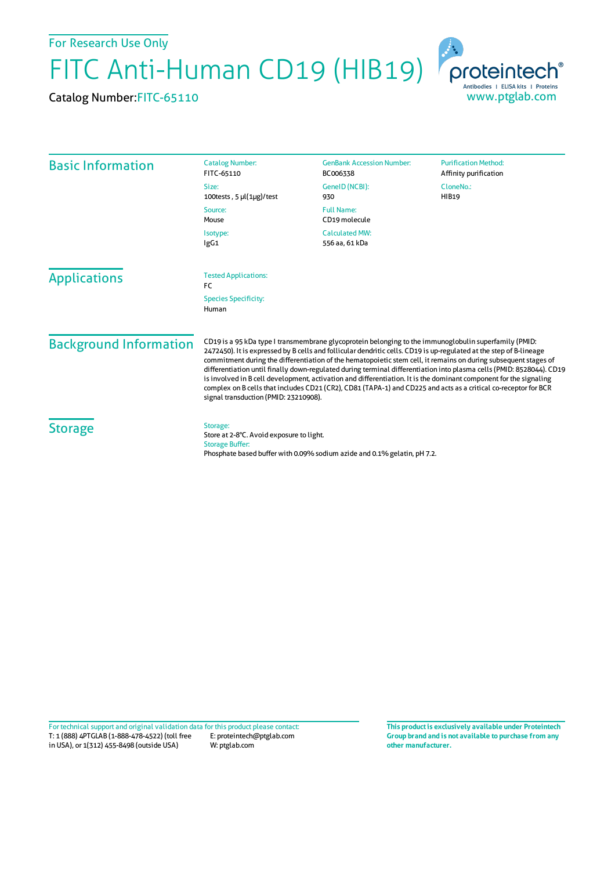For Research Use Only

FITC Anti-Human CD19 (HIB19)

Catalog Number:FITC-65110



| <b>Basic Information</b>      | <b>Catalog Number:</b><br>FITC-65110                                                                                                                                                                                                                                                                                                                                                                                                                                                                                                                                                                                                                                                                                                                    | <b>GenBank Accession Number:</b><br>BC006338 | <b>Purification Method:</b><br>Affinity purification |
|-------------------------------|---------------------------------------------------------------------------------------------------------------------------------------------------------------------------------------------------------------------------------------------------------------------------------------------------------------------------------------------------------------------------------------------------------------------------------------------------------------------------------------------------------------------------------------------------------------------------------------------------------------------------------------------------------------------------------------------------------------------------------------------------------|----------------------------------------------|------------------------------------------------------|
|                               | Size:<br>100tests, $5 \mu(1\mu g)/\text{test}$                                                                                                                                                                                                                                                                                                                                                                                                                                                                                                                                                                                                                                                                                                          | GeneID (NCBI):<br>930                        | CloneNo.:<br><b>HIB19</b>                            |
|                               | Source:<br>Mouse                                                                                                                                                                                                                                                                                                                                                                                                                                                                                                                                                                                                                                                                                                                                        | <b>Full Name:</b><br>CD19 molecule           |                                                      |
|                               | Isotype:<br>lgG1                                                                                                                                                                                                                                                                                                                                                                                                                                                                                                                                                                                                                                                                                                                                        | <b>Calculated MW:</b><br>556 aa, 61 kDa      |                                                      |
| <b>Applications</b>           | <b>Tested Applications:</b><br>FC                                                                                                                                                                                                                                                                                                                                                                                                                                                                                                                                                                                                                                                                                                                       |                                              |                                                      |
|                               | <b>Species Specificity:</b><br>Human                                                                                                                                                                                                                                                                                                                                                                                                                                                                                                                                                                                                                                                                                                                    |                                              |                                                      |
| <b>Background Information</b> | CD19 is a 95 kDa type I transmembrane glycoprotein belonging to the immunoglobulin superfamily (PMID:<br>2472450). It is expressed by B cells and follicular dendritic cells. CD19 is up-regulated at the step of B-lineage<br>commitment during the differentiation of the hematopoietic stem cell, it remains on during subsequent stages of<br>differentiation until finally down-regulated during terminal differentiation into plasma cells (PMID: 8528044). CD19<br>is involved in B cell development, activation and differentiation. It is the dominant component for the signaling<br>complex on B cells that includes CD21 (CR2), CD81 (TAPA-1) and CD225 and acts as a critical co-receptor for BCR<br>signal transduction (PMID: 23210908). |                                              |                                                      |
| <b>Storage</b>                | Storage:<br>Store at 2-8°C. Avoid exposure to light.<br><b>Storage Buffer:</b><br>Phosphate based buffer with 0.09% sodium azide and 0.1% gelatin, pH 7.2.                                                                                                                                                                                                                                                                                                                                                                                                                                                                                                                                                                                              |                                              |                                                      |

T: 1 (888) 4PTGLAB (1-888-478-4522) (toll free in USA), or 1(312) 455-8498 (outside USA) E: proteintech@ptglab.com W: ptglab.com Fortechnical support and original validation data forthis product please contact: **This productis exclusively available under Proteintech**

**Group brand and is not available to purchase from any other manufacturer.**